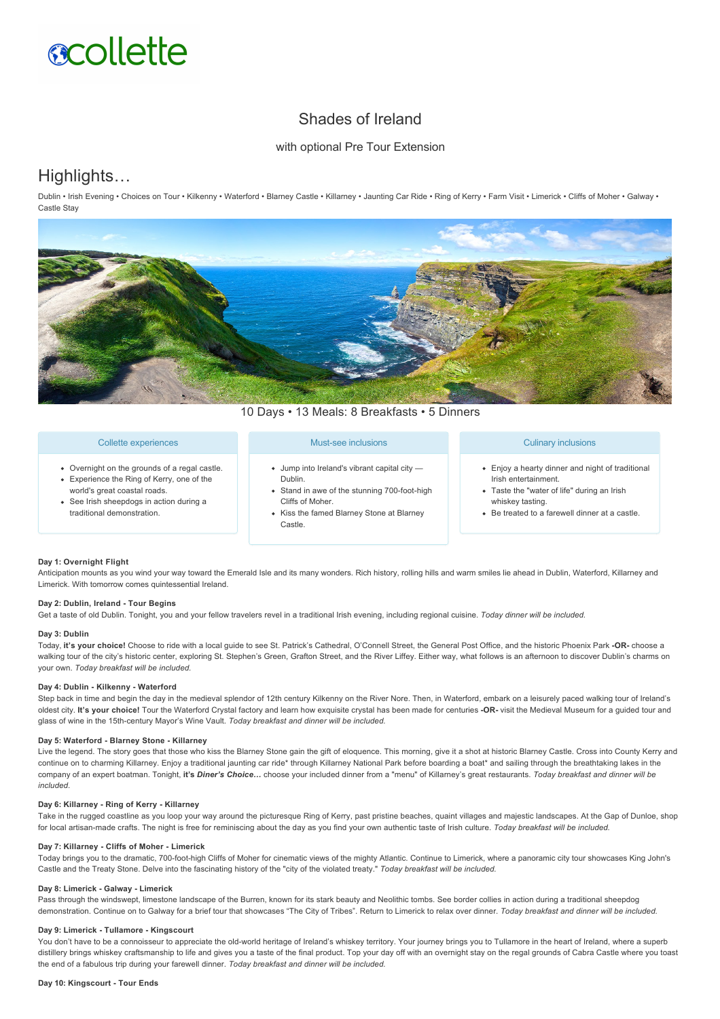# **acollette**

# Shades of Ireland

#### with optional Pre Tour Extension

# Highlights…

Dublin • Irish Evening • Choices on Tour • Kilkenny • Waterford • Blarney Castle • Killarney • Jaunting Car Ride • Ring of Kerry • Farm Visit • Limerick • Cliffs of Moher • Galway • Castle Stay



10 Days • 13 Meals: 8 Breakfasts • 5 Dinners

#### Collette experiences

- Overnight on the grounds of a regal castle. Experience the Ring of Kerry, one of the
- world's great coastal roads.
- See Irish sheepdogs in action during a traditional demonstration.

#### Must-see inclusions

- Jump into Ireland's vibrant capital city Dublin.
- Stand in awe of the stunning 700-foot-high Cliffs of Moher.
- Kiss the famed Blarney Stone at Blarney Castle.

#### Culinary inclusions

- Enjoy a hearty dinner and night of traditional Irish entertainment.
- Taste the "water of life" during an Irish whiskey tasting.
- Be treated to a farewell dinner at a castle.

#### **Day 1: Overnight Flight**

Anticipation mounts as you wind your way toward the Emerald Isle and its many wonders. Rich history, rolling hills and warm smiles lie ahead in Dublin, Waterford, Killarney and Limerick. With tomorrow comes quintessential Ireland.

#### **Day 2: Dublin, Ireland Tour Begins**

Get a taste of old Dublin. Tonight, you and your fellow travelers revel in a traditional Irish evening, including regional cuisine. *Today dinner will be included.*

#### **Day 3: Dublin**

Today, **it's your choice!** Choose to ride with a local guide to see St. Patrick's Cathedral, O'Connell Street, the General Post Office, and the historic Phoenix Park **OR** choose a walking tour of the city's historic center, exploring St. Stephen's Green, Grafton Street, and the River Liffey. Either way, what follows is an afternoon to discover Dublin's charms on your own. *Today breakfast will be included.*

#### Dav 4: Dublin - Kilkenny - Waterford

Step back in time and begin the day in the medieval splendor of 12th century Kilkenny on the River Nore. Then, in Waterford, embark on a leisurely paced walking tour of Ireland's oldest city. **It's your choice!** Tour the Waterford Crystal factory and learn how exquisite crystal has been made for centuries **OR** visit the Medieval Museum for a guided tour and glass of wine in the 15th-century Mayor's Wine Vault. *Today breakfast and dinner will be included.* 

#### Day 5: Waterford - Blarney Stone - Killarney

Live the legend. The story goes that those who kiss the Blarney Stone gain the gift of eloquence. This morning, give it a shot at historic Blarney Castle. Cross into County Kerry and continue on to charming Killarney. Enjoy a traditional jaunting car ride\* through Killarney National Park before boarding a boat\* and sailing through the breathtaking lakes in the company of an expert boatman. Tonight, **it's** *Diner's Choice…* choose your included dinner from a "menu" of Killarney's great restaurants. *Today breakfast and dinner will be included.*

#### Day 6: Killarney - Ring of Kerry - Killarney

Take in the rugged coastline as you loop your way around the picturesque Ring of Kerry, past pristine beaches, quaint villages and majestic landscapes. At the Gap of Dunloe, shop for local artisan-made crafts. The night is free for reminiscing about the day as you find your own authentic taste of Irish culture. Today breakfast will be included.

#### **Day 7: Killarney Cliffs of Moher Limerick**

Today brings you to the dramatic, 700foothigh Cliffs of Moher for cinematic views of the mighty Atlantic. Continue to Limerick, where a panoramic city tour showcases King John's Castle and the Treaty Stone. Delve into the fascinating history of the "city of the violated treaty." *Today breakfast will be included.*

#### **Day 8: Limerick Galway Limerick**

Pass through the windswept, limestone landscape of the Burren, known for its stark beauty and Neolithic tombs. See border collies in action during a traditional sheepdog demonstration. Continue on to Galway for a brief tour that showcases "The City of Tribes". Return to Limerick to relax over dinner. *Today breakfast and dinner will be included.*

#### Day 9: Limerick - Tullamore - Kingscourt

You don't have to be a connoisseur to appreciate the old-world heritage of Ireland's whiskey territory. Your journey brings you to Tullamore in the heart of Ireland, where a superb distillery brings whiskey craftsmanship to life and gives you a taste of the final product. Top your day off with an overnight stay on the regal grounds of Cabra Castle where you toast the end of a fabulous trip during your farewell dinner. *Today breakfast and dinner will be included.*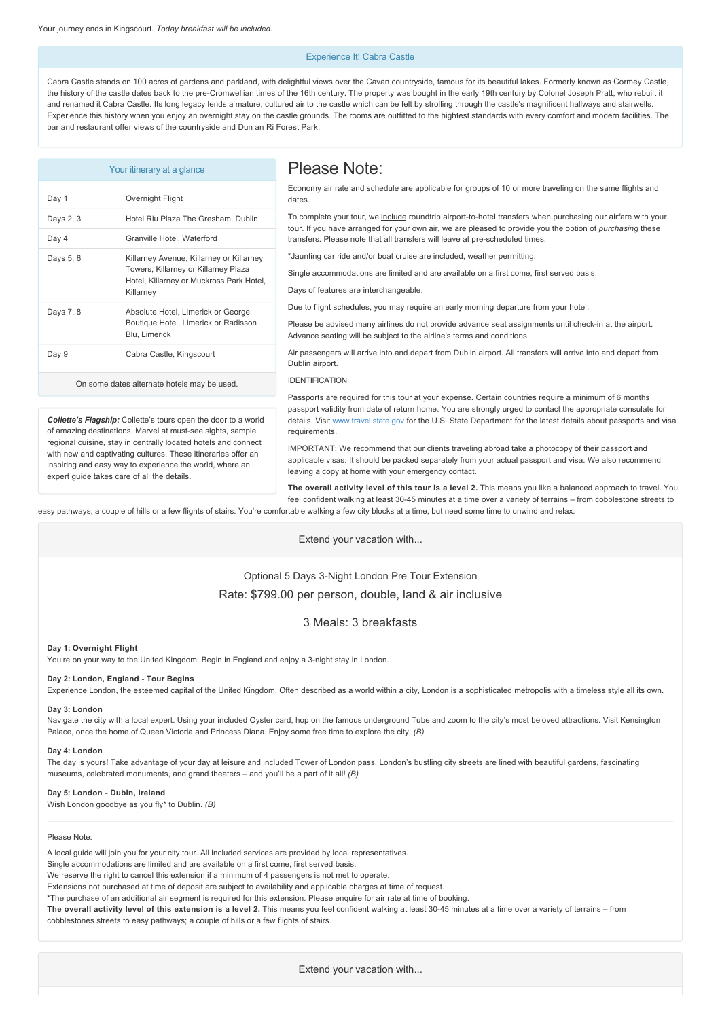#### Experience It! Cabra Castle

Cabra Castle stands on 100 acres of gardens and parkland, with delightful views over the Cavan countryside, famous for its beautiful lakes. Formerly known as Cormey Castle, the history of the castle dates back to the pre-Cromwellian times of the 16th century. The property was bought in the early 19th century by Colonel Joseph Pratt, who rebuilt it and renamed it Cabra Castle. Its long legacy lends a mature, cultured air to the castle which can be felt by strolling through the castle's magnificent hallways and stairwells. Experience this history when you enjoy an overnight stay on the castle grounds. The rooms are outfitted to the hightest standards with every comfort and modern facilities. The bar and restaurant offer views of the countryside and Dun an Ri Forest Park.

|                                                                                                                                                                                                                                            | Your itinerary at a glance                                                                                                                | Please Note:                                                                                                                                                                                                                                                      |
|--------------------------------------------------------------------------------------------------------------------------------------------------------------------------------------------------------------------------------------------|-------------------------------------------------------------------------------------------------------------------------------------------|-------------------------------------------------------------------------------------------------------------------------------------------------------------------------------------------------------------------------------------------------------------------|
| Day 1                                                                                                                                                                                                                                      | Overnight Flight                                                                                                                          | Economy air rate and schedule are applicable for groups of 10 or more traveling on the same flights and<br>dates.                                                                                                                                                 |
| Days 2, 3                                                                                                                                                                                                                                  | Hotel Riu Plaza The Gresham, Dublin                                                                                                       | To complete your tour, we include roundtrip airport-to-hotel transfers when purchasing our airfare with your                                                                                                                                                      |
| Day 4                                                                                                                                                                                                                                      | Granville Hotel, Waterford                                                                                                                | tour. If you have arranged for your own air, we are pleased to provide you the option of <i>purchasing</i> these<br>transfers. Please note that all transfers will leave at pre-scheduled times.                                                                  |
| Days 5, 6                                                                                                                                                                                                                                  | Killarney Avenue, Killarney or Killarney<br>Towers, Killarney or Killarney Plaza<br>Hotel, Killarney or Muckross Park Hotel,<br>Killarney | *Jaunting car ride and/or boat cruise are included, weather permitting.                                                                                                                                                                                           |
|                                                                                                                                                                                                                                            |                                                                                                                                           | Single accommodations are limited and are available on a first come, first served basis.                                                                                                                                                                          |
|                                                                                                                                                                                                                                            |                                                                                                                                           | Days of features are interchangeable.                                                                                                                                                                                                                             |
| Days 7, 8                                                                                                                                                                                                                                  | Absolute Hotel, Limerick or George<br>Boutique Hotel, Limerick or Radisson<br>Blu, Limerick                                               | Due to flight schedules, you may require an early morning departure from your hotel.                                                                                                                                                                              |
|                                                                                                                                                                                                                                            |                                                                                                                                           | Please be advised many airlines do not provide advance seat assignments until check-in at the airport.<br>Advance seating will be subject to the airline's terms and conditions.                                                                                  |
| Day 9                                                                                                                                                                                                                                      | Cabra Castle, Kingscourt                                                                                                                  | Air passengers will arrive into and depart from Dublin airport. All transfers will arrive into and depart from<br>Dublin airport.                                                                                                                                 |
| On some dates alternate hotels may be used.                                                                                                                                                                                                |                                                                                                                                           | <b>IDENTIFICATION</b>                                                                                                                                                                                                                                             |
|                                                                                                                                                                                                                                            |                                                                                                                                           | Passports are required for this tour at your expense. Certain countries require a minimum of 6 months                                                                                                                                                             |
| Collette's Flagship: Collette's tours open the door to a world<br>of amazing destinations. Marvel at must-see sights, sample                                                                                                               |                                                                                                                                           | passport validity from date of return home. You are strongly urged to contact the appropriate consulate for<br>details. Visit www.travel.state.gov for the U.S. State Department for the latest details about passports and visa<br>requirements.                 |
| regional cuisine, stay in centrally located hotels and connect<br>with new and captivating cultures. These itineraries offer an<br>inspiring and easy way to experience the world, where an<br>aynart quida takas sara af all tha dataila. |                                                                                                                                           | IMPORTANT: We recommend that our clients traveling abroad take a photocopy of their passport and<br>applicable visas. It should be packed separately from your actual passport and visa. We also recommend<br>leaving a copy at home with your emergency contact. |

**The overall activity level of this tour is a level 2.** This means you like a balanced approach to travel. You feel confident walking at least 3045 minutes at a time over a variety of terrains – from cobblestone streets to

easy pathways; a couple of hills or a few flights of stairs. You're comfortable walking a few city blocks at a time, but need some time to unwind and relax.

Extend your vacation with...

### Optional 5 Days 3-Night London Pre Tour Extension Rate: \$799.00 per person, double, land & air inclusive

#### 3 Meals: 3 breakfasts

#### **Day 1: Overnight Flight**

You're on your way to the United Kingdom. Begin in England and enjoy a 3-night stay in London.

#### Day 2: London, England - Tour Begins

expert guide takes care of all the details.

Experience London, the esteemed capital of the United Kingdom. Often described as a world within a city, London is a sophisticated metropolis with a timeless style all its own.

#### **Day 3: London**

Navigate the city with a local expert. Using your included Oyster card, hop on the famous underground Tube and zoom to the city's most beloved attractions. Visit Kensington Palace, once the home of Queen Victoria and Princess Diana. Enjoy some free time to explore the city. *(B)*

#### **Day 4: London**

The day is yours! Take advantage of your day at leisure and included Tower of London pass. London's bustling city streets are lined with beautiful gardens, fascinating museums, celebrated monuments, and grand theaters – and you'll be a part of it all! *(B)*

#### Day 5: London - Dubin, Ireland

Wish London goodbye as you fly\* to Dublin. *(B)*

#### Please Note:

A local guide will join you for your city tour. All included services are provided by local representatives.

Single accommodations are limited and are available on a first come, first served basis.

We reserve the right to cancel this extension if a minimum of 4 passengers is not met to operate.

Extensions not purchased at time of deposit are subject to availability and applicable charges at time of request.

\*The purchase of an additional air segment is required for this extension. Please enquire for air rate at time of booking.

**The overall activity level of this extension is a level 2.** This means you feel confident walking at least 3045 minutes at a time over a variety of terrains – from cobblestones streets to easy pathways; a couple of hills or a few flights of stairs.

Extend your vacation with...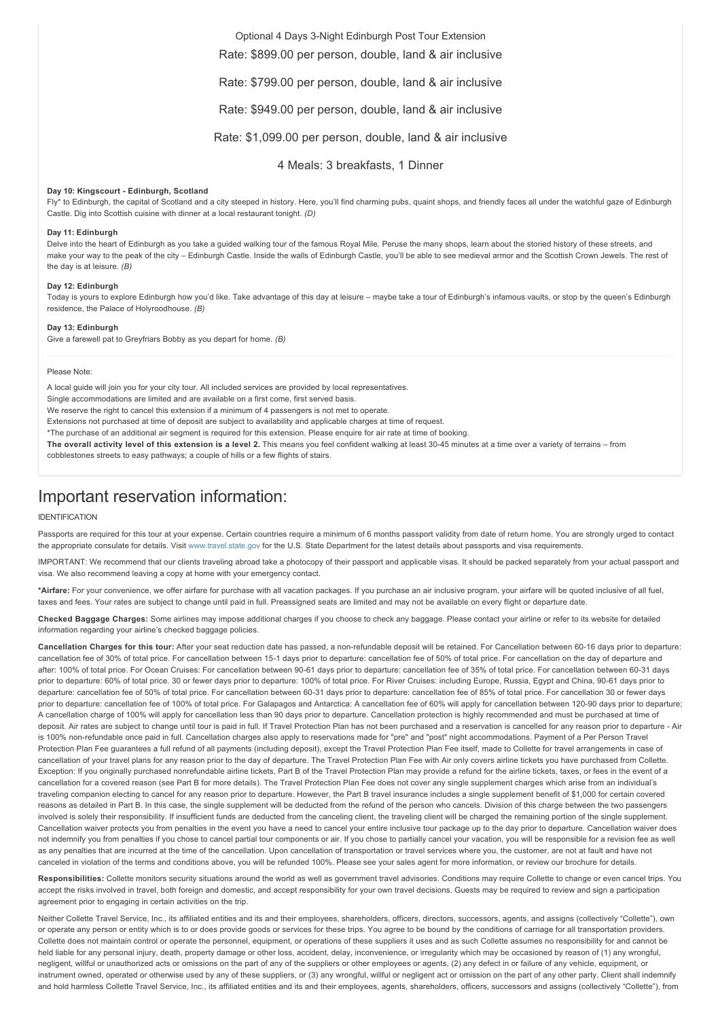#### Optional 4 Days 3-Night Edinburgh Post Tour Extension

Rate: \$899.00 per person, double, land & air inclusive

Rate: \$799.00 per person, double, land & air inclusive

Rate: \$949.00 per person, double, land & air inclusive

Rate: \$1,099.00 per person, double, land & air inclusive

4 Meals: 3 breakfasts, 1 Dinner

#### **Day 10: Kingscourt Edinburgh, Scotland**

Fly\* to Edinburgh, the capital of Scotland and a city steeped in history. Here, you'll find charming pubs, quaint shops, and friendly faces all under the watchful gaze of Edinburgh Castle. Dig into Scottish cuisine with dinner at a local restaurant tonight. *(D)*

#### **Day 11: Edinburgh**

Delve into the heart of Edinburgh as you take a guided walking tour of the famous Royal Mile. Peruse the many shops, learn about the storied history of these streets, and make your way to the peak of the city – Edinburgh Castle. Inside the walls of Edinburgh Castle, you'll be able to see medieval armor and the Scottish Crown Jewels. The rest of the day is at leisure. *(B)*

#### **Day 12: Edinburgh**

Today is yours to explore Edinburgh how you'd like. Take advantage of this day at leisure – maybe take a tour of Edinburgh's infamous vaults, or stop by the queen's Edinburgh residence, the Palace of Holyroodhouse. *(B)*

#### **Day 13: Edinburgh**

Give a farewell pat to Greyfriars Bobby as you depart for home. *(B)*

#### Please Note:

A local guide will join you for your city tour. All included services are provided by local representatives.

Single accommodations are limited and are available on a first come, first served basis.

We reserve the right to cancel this extension if a minimum of 4 passengers is not met to operate.

Extensions not purchased at time of deposit are subject to availability and applicable charges at time of request.

\*The purchase of an additional air segment is required for this extension. Please enquire for air rate at time of booking.

The overall activity level of this extension is a level 2. This means you feel confident walking at least 30-45 minutes at a time over a variety of terrains – from cobblestones streets to easy pathways; a couple of hills or a few flights of stairs.

## Important reservation information:

#### IDENTIFICATION

Passports are required for this tour at your expense. Certain countries require a minimum of 6 months passport validity from date of return home. You are strongly urged to contact the appropriate consulate for details. Visit [www.travel.state.gov](https://itinerary.collette.com/Documents/Flyer/14190/USD/www.travel.state.gov) for the U.S. State Department for the latest details about passports and visa requirements.

IMPORTANT: We recommend that our clients traveling abroad take a photocopy of their passport and applicable visas. It should be packed separately from your actual passport and visa. We also recommend leaving a copy at home with your emergency contact.

**\*Airfare:** For your convenience, we offer airfare for purchase with all vacation packages. If you purchase an air inclusive program, your airfare will be quoted inclusive of all fuel, taxes and fees. Your rates are subject to change until paid in full. Preassigned seats are limited and may not be available on every flight or departure date.

**Checked Baggage Charges:** Some airlines may impose additional charges if you choose to check any baggage. Please contact your airline or refer to its website for detailed information regarding your airline's checked baggage policies.

Cancellation Charges for this tour: After your seat reduction date has passed, a non-refundable deposit will be retained. For Cancellation between 60-16 days prior to departure: cancellation fee of 30% of total price. For cancellation between 15-1 days prior to departure: cancellation fee of 50% of total price. For cancellation on the day of departure and after: 100% of total price. For Ocean Cruises: For cancellation between 9061 days prior to departure: cancellation fee of 35% of total price. For cancellation between 6031 days prior to departure: 60% of total price. 30 or fewer days prior to departure: 100% of total price. For River Cruises: including Europe, Russia, Egypt and China, 90-61 days prior to departure: cancellation fee of 50% of total price. For cancellation between 6031 days prior to departure: cancellation fee of 85% of total price. For cancellation 30 or fewer days prior to departure: cancellation fee of 100% of total price. For Galapagos and Antarctica: A cancellation fee of 60% will apply for cancellation between 120-90 days prior to departure; A cancellation charge of 100% will apply for cancellation less than 90 days prior to departure. Cancellation protection is highly recommended and must be purchased at time of deposit. Air rates are subject to change until tour is paid in full. If Travel Protection Plan has not been purchased and a reservation is cancelled for any reason prior to departure - Air is 100% non-refundable once paid in full. Cancellation charges also apply to reservations made for "pre" and "post" night accommodations. Payment of a Per Person Travel Protection Plan Fee guarantees a full refund of all payments (including deposit), except the Travel Protection Plan Fee itself, made to Collette for travel arrangements in case of cancellation of your travel plans for any reason prior to the day of departure. The Travel Protection Plan Fee with Air only covers airline tickets you have purchased from Collette. Exception: If you originally purchased nonrefundable airline tickets, Part B of the Travel Protection Plan may provide a refund for the airline tickets, taxes, or fees in the event of a cancellation for a covered reason (see Part B for more details). The Travel Protection Plan Fee does not cover any single supplement charges which arise from an individual's traveling companion electing to cancel for any reason prior to departure. However, the Part B travel insurance includes a single supplement benefit of \$1,000 for certain covered reasons as detailed in Part B. In this case, the single supplement will be deducted from the refund of the person who cancels. Division of this charge between the two passengers involved is solely their responsibility. If insufficient funds are deducted from the canceling client, the traveling client will be charged the remaining portion of the single supplement. Cancellation waiver protects you from penalties in the event you have a need to cancel your entire inclusive tour package up to the day prior to departure. Cancellation waiver does not indemnify you from penalties if you chose to cancel partial tour components or air. If you chose to partially cancel your vacation, you will be responsible for a revision fee as well as any penalties that are incurred at the time of the cancellation. Upon cancellation of transportation or travel services where you, the customer, are not at fault and have not canceled in violation of the terms and conditions above, you will be refunded 100%. Please see your sales agent for more information, or review our brochure for details.

Responsibilities: Collette monitors security situations around the world as well as government travel advisories. Conditions may require Collette to change or even cancel trips. You accept the risks involved in travel, both foreign and domestic, and accept responsibility for your own travel decisions. Guests may be required to review and sign a participation agreement prior to engaging in certain activities on the trip.

Neither Collette Travel Service, Inc., its affiliated entities and its and their employees, shareholders, officers, directors, successors, agents, and assigns (collectively "Collette"), own or operate any person or entity which is to or does provide goods or services for these trips. You agree to be bound by the conditions of carriage for all transportation providers. Collette does not maintain control or operate the personnel, equipment, or operations of these suppliers it uses and as such Collette assumes no responsibility for and cannot be held liable for any personal injury, death, property damage or other loss, accident, delay, inconvenience, or irregularity which may be occasioned by reason of (1) any wrongful, negligent, willful or unauthorized acts or omissions on the part of any of the suppliers or other employees or agents, (2) any defect in or failure of any vehicle, equipment, or instrument owned, operated or otherwise used by any of these suppliers, or (3) any wrongful, willful or negligent act or omission on the part of any other party. Client shall indemnify and hold harmless Collette Travel Service, Inc., its affiliated entities and its and their employees, agents, shareholders, officers, successors and assigns (collectively "Collette"), from